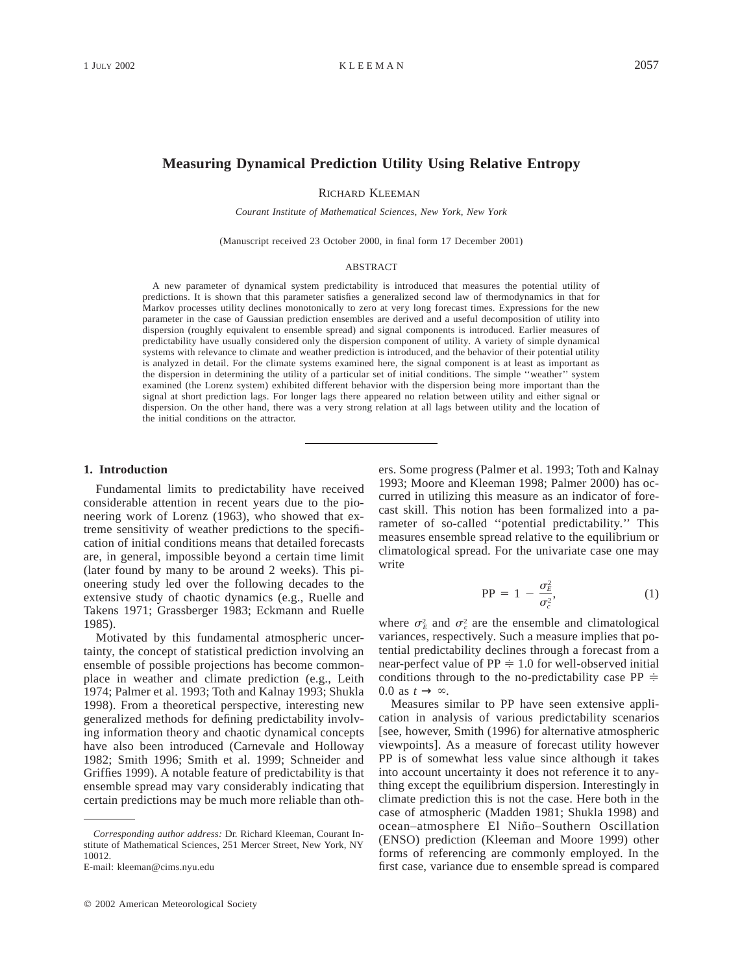# **Measuring Dynamical Prediction Utility Using Relative Entropy**

RICHARD KLEEMAN

*Courant Institute of Mathematical Sciences, New York, New York*

(Manuscript received 23 October 2000, in final form 17 December 2001)

#### ABSTRACT

A new parameter of dynamical system predictability is introduced that measures the potential utility of predictions. It is shown that this parameter satisfies a generalized second law of thermodynamics in that for Markov processes utility declines monotonically to zero at very long forecast times. Expressions for the new parameter in the case of Gaussian prediction ensembles are derived and a useful decomposition of utility into dispersion (roughly equivalent to ensemble spread) and signal components is introduced. Earlier measures of predictability have usually considered only the dispersion component of utility. A variety of simple dynamical systems with relevance to climate and weather prediction is introduced, and the behavior of their potential utility is analyzed in detail. For the climate systems examined here, the signal component is at least as important as the dispersion in determining the utility of a particular set of initial conditions. The simple ''weather'' system examined (the Lorenz system) exhibited different behavior with the dispersion being more important than the signal at short prediction lags. For longer lags there appeared no relation between utility and either signal or dispersion. On the other hand, there was a very strong relation at all lags between utility and the location of the initial conditions on the attractor.

#### **1. Introduction**

Fundamental limits to predictability have received considerable attention in recent years due to the pioneering work of Lorenz (1963), who showed that extreme sensitivity of weather predictions to the specification of initial conditions means that detailed forecasts are, in general, impossible beyond a certain time limit (later found by many to be around 2 weeks). This pioneering study led over the following decades to the extensive study of chaotic dynamics (e.g., Ruelle and Takens 1971; Grassberger 1983; Eckmann and Ruelle 1985).

Motivated by this fundamental atmospheric uncertainty, the concept of statistical prediction involving an ensemble of possible projections has become commonplace in weather and climate prediction (e.g., Leith 1974; Palmer et al. 1993; Toth and Kalnay 1993; Shukla 1998). From a theoretical perspective, interesting new generalized methods for defining predictability involving information theory and chaotic dynamical concepts have also been introduced (Carnevale and Holloway 1982; Smith 1996; Smith et al. 1999; Schneider and Griffies 1999). A notable feature of predictability is that ensemble spread may vary considerably indicating that certain predictions may be much more reliable than oth-

ers. Some progress (Palmer et al. 1993; Toth and Kalnay 1993; Moore and Kleeman 1998; Palmer 2000) has occurred in utilizing this measure as an indicator of forecast skill. This notion has been formalized into a parameter of so-called ''potential predictability.'' This measures ensemble spread relative to the equilibrium or climatological spread. For the univariate case one may write

$$
PP = 1 - \frac{\sigma_E^2}{\sigma_c^2},\tag{1}
$$

where  $\sigma_E^2$  and  $\sigma_c^2$  are the ensemble and climatological variances, respectively. Such a measure implies that potential predictability declines through a forecast from a near-perfect value of  $PP = 1.0$  for well-observed initial conditions through to the no-predictability case PP  $\dot{=}$ 0.0 as  $t \to \infty$ .

Measures similar to PP have seen extensive application in analysis of various predictability scenarios [see, however, Smith (1996) for alternative atmospheric viewpoints]. As a measure of forecast utility however PP is of somewhat less value since although it takes into account uncertainty it does not reference it to anything except the equilibrium dispersion. Interestingly in climate prediction this is not the case. Here both in the case of atmospheric (Madden 1981; Shukla 1998) and ocean–atmosphere El Nin˜o–Southern Oscillation (ENSO) prediction (Kleeman and Moore 1999) other forms of referencing are commonly employed. In the first case, variance due to ensemble spread is compared

*Corresponding author address:* Dr. Richard Kleeman, Courant Institute of Mathematical Sciences, 251 Mercer Street, New York, NY 10012.

E-mail: kleeman@cims.nyu.edu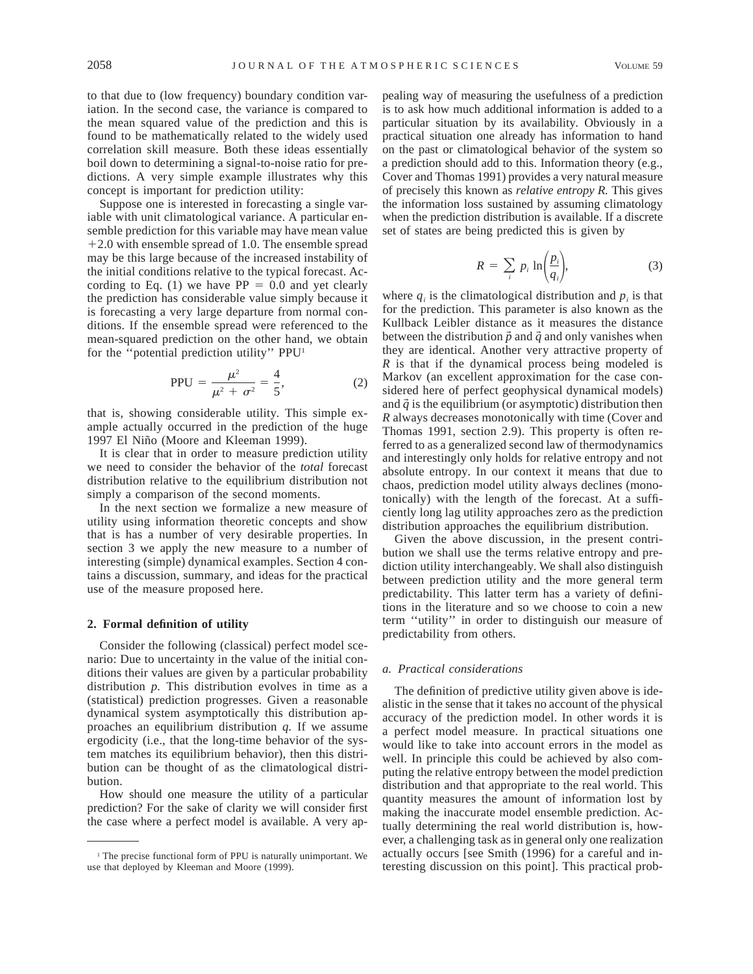to that due to (low frequency) boundary condition variation. In the second case, the variance is compared to the mean squared value of the prediction and this is found to be mathematically related to the widely used correlation skill measure. Both these ideas essentially boil down to determining a signal-to-noise ratio for predictions. A very simple example illustrates why this concept is important for prediction utility:

Suppose one is interested in forecasting a single variable with unit climatological variance. A particular ensemble prediction for this variable may have mean value  $+2.0$  with ensemble spread of 1.0. The ensemble spread may be this large because of the increased instability of the initial conditions relative to the typical forecast. According to Eq. (1) we have  $PP = 0.0$  and yet clearly the prediction has considerable value simply because it is forecasting a very large departure from normal conditions. If the ensemble spread were referenced to the mean-squared prediction on the other hand, we obtain for the ''potential prediction utility'' PPU1

$$
PPU = \frac{\mu^2}{\mu^2 + \sigma^2} = \frac{4}{5},
$$
 (2)

that is, showing considerable utility. This simple example actually occurred in the prediction of the huge 1997 El Niño (Moore and Kleeman 1999).

It is clear that in order to measure prediction utility we need to consider the behavior of the *total* forecast distribution relative to the equilibrium distribution not simply a comparison of the second moments.

In the next section we formalize a new measure of utility using information theoretic concepts and show that is has a number of very desirable properties. In section 3 we apply the new measure to a number of interesting (simple) dynamical examples. Section 4 contains a discussion, summary, and ideas for the practical use of the measure proposed here.

## **2. Formal definition of utility**

Consider the following (classical) perfect model scenario: Due to uncertainty in the value of the initial conditions their values are given by a particular probability distribution *p.* This distribution evolves in time as a (statistical) prediction progresses. Given a reasonable dynamical system asymptotically this distribution approaches an equilibrium distribution *q.* If we assume ergodicity (i.e., that the long-time behavior of the system matches its equilibrium behavior), then this distribution can be thought of as the climatological distribution.

How should one measure the utility of a particular prediction? For the sake of clarity we will consider first the case where a perfect model is available. A very appealing way of measuring the usefulness of a prediction is to ask how much additional information is added to a particular situation by its availability. Obviously in a practical situation one already has information to hand on the past or climatological behavior of the system so a prediction should add to this. Information theory (e.g., Cover and Thomas 1991) provides a very natural measure of precisely this known as *relative entropy R.* This gives the information loss sustained by assuming climatology when the prediction distribution is available. If a discrete set of states are being predicted this is given by

$$
R = \sum_{i} p_i \ln \left( \frac{p_i}{q_i} \right), \tag{3}
$$

where  $q_i$  is the climatological distribution and  $p_i$  is that for the prediction. This parameter is also known as the Kullback Leibler distance as it measures the distance between the distribution  $\vec{p}$  and  $\vec{q}$  and only vanishes when they are identical. Another very attractive property of *R* is that if the dynamical process being modeled is Markov (an excellent approximation for the case considered here of perfect geophysical dynamical models) and  $\vec{q}$  is the equilibrium (or asymptotic) distribution then *R* always decreases monotonically with time (Cover and Thomas 1991, section 2.9). This property is often referred to as a generalized second law of thermodynamics and interestingly only holds for relative entropy and not absolute entropy. In our context it means that due to chaos, prediction model utility always declines (monotonically) with the length of the forecast. At a sufficiently long lag utility approaches zero as the prediction distribution approaches the equilibrium distribution.

Given the above discussion, in the present contribution we shall use the terms relative entropy and prediction utility interchangeably. We shall also distinguish between prediction utility and the more general term predictability. This latter term has a variety of definitions in the literature and so we choose to coin a new term ''utility'' in order to distinguish our measure of predictability from others.

#### *a. Practical considerations*

The definition of predictive utility given above is idealistic in the sense that it takes no account of the physical accuracy of the prediction model. In other words it is a perfect model measure. In practical situations one would like to take into account errors in the model as well. In principle this could be achieved by also computing the relative entropy between the model prediction distribution and that appropriate to the real world. This quantity measures the amount of information lost by making the inaccurate model ensemble prediction. Actually determining the real world distribution is, however, a challenging task as in general only one realization actually occurs [see Smith (1996) for a careful and interesting discussion on this point]. This practical prob-

<sup>&</sup>lt;sup>1</sup> The precise functional form of PPU is naturally unimportant. We use that deployed by Kleeman and Moore (1999).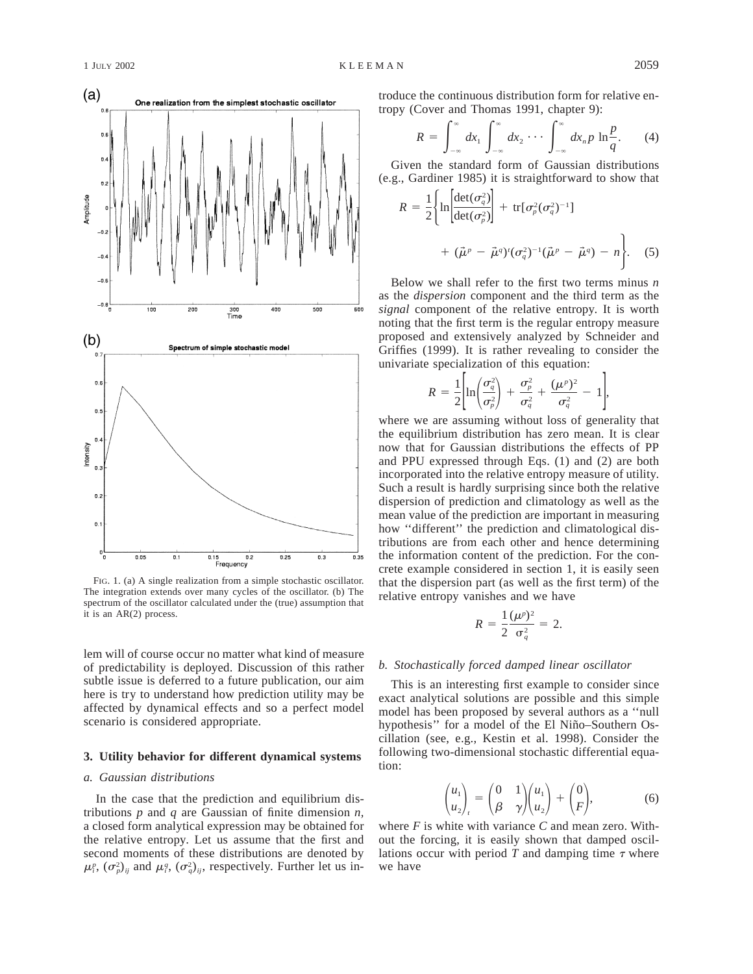

FIG. 1. (a) A single realization from a simple stochastic oscillator. The integration extends over many cycles of the oscillator. (b) The spectrum of the oscillator calculated under the (true) assumption that it is an AR(2) process.

lem will of course occur no matter what kind of measure of predictability is deployed. Discussion of this rather subtle issue is deferred to a future publication, our aim here is try to understand how prediction utility may be affected by dynamical effects and so a perfect model scenario is considered appropriate.

## **3. Utility behavior for different dynamical systems**

### *a. Gaussian distributions*

In the case that the prediction and equilibrium distributions *p* and *q* are Gaussian of finite dimension *n,* a closed form analytical expression may be obtained for the relative entropy. Let us assume that the first and second moments of these distributions are denoted by  $(\mu_i^p, (\sigma_p^2)_{ij})$  and  $\mu_i^q, (\sigma_q^2)_{ij}$ , respectively. Further let us introduce the continuous distribution form for relative entropy (Cover and Thomas 1991, chapter 9):

$$
R = \int_{-\infty}^{\infty} dx_1 \int_{-\infty}^{\infty} dx_2 \cdots \int_{-\infty}^{\infty} dx_n p \ln \frac{p}{q}.
$$
 (4)

Given the standard form of Gaussian distributions (e.g., Gardiner 1985) it is straightforward to show that

$$
R = \frac{1}{2} \left\{ \ln \left[ \frac{\det(\sigma_q^2)}{\det(\sigma_p^2)} \right] + \text{tr}[\sigma_p^2(\sigma_q^2)^{-1}] + (\vec{\mu}^p - \vec{\mu}^q)'(\sigma_q^2)^{-1}(\vec{\mu}^p - \vec{\mu}^q) - n \right\}. \quad (5)
$$

Below we shall refer to the first two terms minus *n* as the *dispersion* component and the third term as the *signal* component of the relative entropy. It is worth noting that the first term is the regular entropy measure proposed and extensively analyzed by Schneider and Griffies (1999). It is rather revealing to consider the univariate specialization of this equation:

$$
R = \frac{1}{2} \left[ \ln \left( \frac{\sigma_q^2}{\sigma_p^2} \right) + \frac{\sigma_p^2}{\sigma_q^2} + \frac{(\mu^p)^2}{\sigma_q^2} - 1 \right],
$$

where we are assuming without loss of generality that the equilibrium distribution has zero mean. It is clear now that for Gaussian distributions the effects of PP and PPU expressed through Eqs. (1) and (2) are both incorporated into the relative entropy measure of utility. Such a result is hardly surprising since both the relative dispersion of prediction and climatology as well as the mean value of the prediction are important in measuring how ''different'' the prediction and climatological distributions are from each other and hence determining the information content of the prediction. For the concrete example considered in section 1, it is easily seen that the dispersion part (as well as the first term) of the relative entropy vanishes and we have

$$
R = \frac{1}{2} \frac{(\mu^p)^2}{\sigma_q^2} = 2.
$$

#### *b. Stochastically forced damped linear oscillator*

This is an interesting first example to consider since exact analytical solutions are possible and this simple model has been proposed by several authors as a ''null hypothesis" for a model of the El Niño–Southern Oscillation (see, e.g., Kestin et al. 1998). Consider the following two-dimensional stochastic differential equation:

$$
\begin{pmatrix} u_1 \\ u_2 \end{pmatrix}_t = \begin{pmatrix} 0 & 1 \\ \beta & \gamma \end{pmatrix} \begin{pmatrix} u_1 \\ u_2 \end{pmatrix} + \begin{pmatrix} 0 \\ F \end{pmatrix}, \tag{6}
$$

where *F* is white with variance *C* and mean zero. Without the forcing, it is easily shown that damped oscillations occur with period  $T$  and damping time  $\tau$  where we have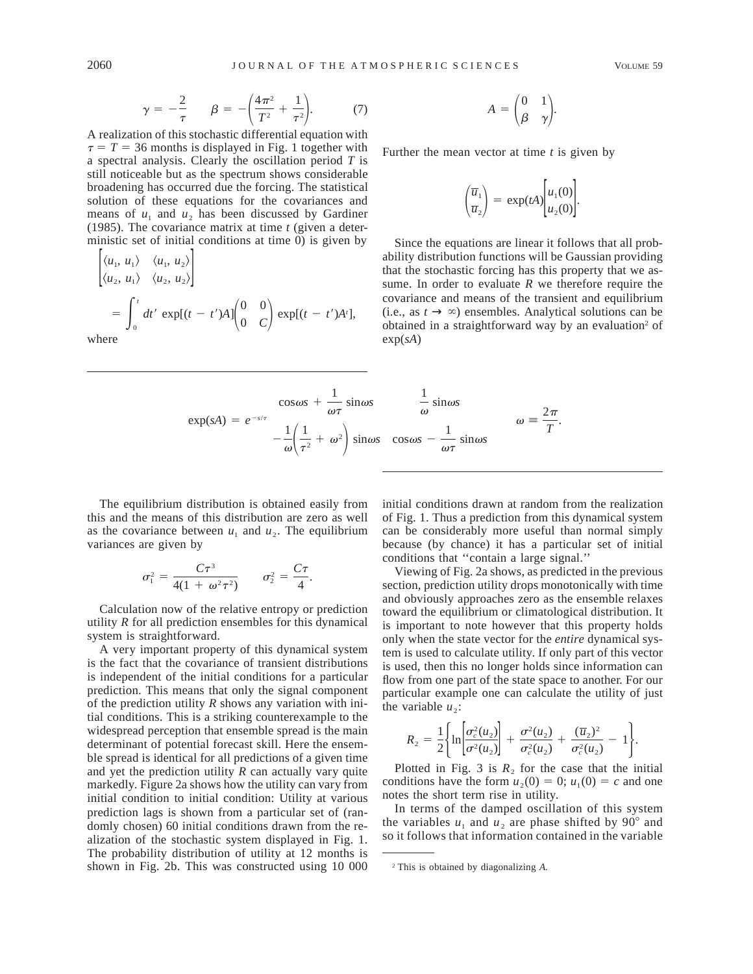$$
\gamma = -\frac{2}{\tau}
$$
  $\beta = -\left(\frac{4\pi^2}{T^2} + \frac{1}{\tau^2}\right)$  (7)

A realization of this stochastic differential equation with  $\tau = T = 36$  months is displayed in Fig. 1 together with a spectral analysis. Clearly the oscillation period *T* is still noticeable but as the spectrum shows considerable broadening has occurred due the forcing. The statistical solution of these equations for the covariances and means of  $u_1$  and  $u_2$  has been discussed by Gardiner (1985). The covariance matrix at time *t* (given a deterministic set of initial conditions at time 0) is given by

$$
\begin{aligned}\n\left\langle u_1, u_1 \right\rangle &\left\langle u_1, u_2 \right\rangle \\
\left\langle u_2, u_1 \right\rangle &\left\langle u_2, u_2 \right\rangle\n\end{aligned}
$$
\n
$$
= \int_0^t dt' \exp[(t - t')A] \begin{pmatrix} 0 & 0 \\ 0 & C \end{pmatrix} \exp[(t - t')A'],
$$
\nhence

where

$$
A = \begin{pmatrix} 0 & 1 \\ \beta & \gamma \end{pmatrix}.
$$

Further the mean vector at time *t* is given by

$$
\left(\frac{\overline{u}_1}{\overline{u}_2}\right) = \exp(tA) \left[u_1(0)\right] \over u_2(0).
$$

Since the equations are linear it follows that all probability distribution functions will be Gaussian providing that the stochastic forcing has this property that we assume. In order to evaluate *R* we therefore require the covariance and means of the transient and equilibrium (i.e., as  $t \to \infty$ ) ensembles. Analytical solutions can be obtained in a straightforward way by an evaluation<sup>2</sup> of exp(*sA*)

$$
\exp(sA) = e^{-s/\tau} \begin{bmatrix} \cos \omega s + \frac{1}{\omega \tau} \sin \omega s & \frac{1}{\omega} \sin \omega s \\ -\frac{1}{\omega} \left( \frac{1}{\tau^2} + \omega^2 \right) \sin \omega s & \cos \omega s - \frac{1}{\omega \tau} \sin \omega s \end{bmatrix} \qquad \omega \equiv \frac{2\pi}{T}.
$$

The equilibrium distribution is obtained easily from this and the means of this distribution are zero as well as the covariance between  $u_1$  and  $u_2$ . The equilibrium variances are given by

$$
\sigma_1^2 = \frac{C\tau^3}{4(1 + \omega^2\tau^2)} \qquad \sigma_2^2 = \frac{C\tau}{4}.
$$

Calculation now of the relative entropy or prediction utility *R* for all prediction ensembles for this dynamical system is straightforward.

A very important property of this dynamical system is the fact that the covariance of transient distributions is independent of the initial conditions for a particular prediction. This means that only the signal component of the prediction utility *R* shows any variation with initial conditions. This is a striking counterexample to the widespread perception that ensemble spread is the main determinant of potential forecast skill. Here the ensemble spread is identical for all predictions of a given time and yet the prediction utility *R* can actually vary quite markedly. Figure 2a shows how the utility can vary from initial condition to initial condition: Utility at various prediction lags is shown from a particular set of (randomly chosen) 60 initial conditions drawn from the realization of the stochastic system displayed in Fig. 1. The probability distribution of utility at 12 months is shown in Fig. 2b. This was constructed using 10 000 initial conditions drawn at random from the realization of Fig. 1. Thus a prediction from this dynamical system can be considerably more useful than normal simply because (by chance) it has a particular set of initial conditions that ''contain a large signal.''

Viewing of Fig. 2a shows, as predicted in the previous section, prediction utility drops monotonically with time and obviously approaches zero as the ensemble relaxes toward the equilibrium or climatological distribution. It is important to note however that this property holds only when the state vector for the *entire* dynamical system is used to calculate utility. If only part of this vector is used, then this no longer holds since information can flow from one part of the state space to another. For our particular example one can calculate the utility of just the variable  $u_2$ :

$$
R_2 = \frac{1}{2} \left\{ \ln \left[ \frac{\sigma_c^2(u_2)}{\sigma^2(u_2)} \right] + \frac{\sigma^2(u_2)}{\sigma_c^2(u_2)} + \frac{(\overline{u}_2)^2}{\sigma_c^2(u_2)} - 1 \right\}.
$$

Plotted in Fig. 3 is  $R_2$  for the case that the initial conditions have the form  $u_2(0) = 0$ ;  $u_1(0) = c$  and one notes the short term rise in utility.

In terms of the damped oscillation of this system the variables  $u_1$  and  $u_2$  are phase shifted by 90 $^{\circ}$  and so it follows that information contained in the variable

<sup>2</sup> This is obtained by diagonalizing *A.*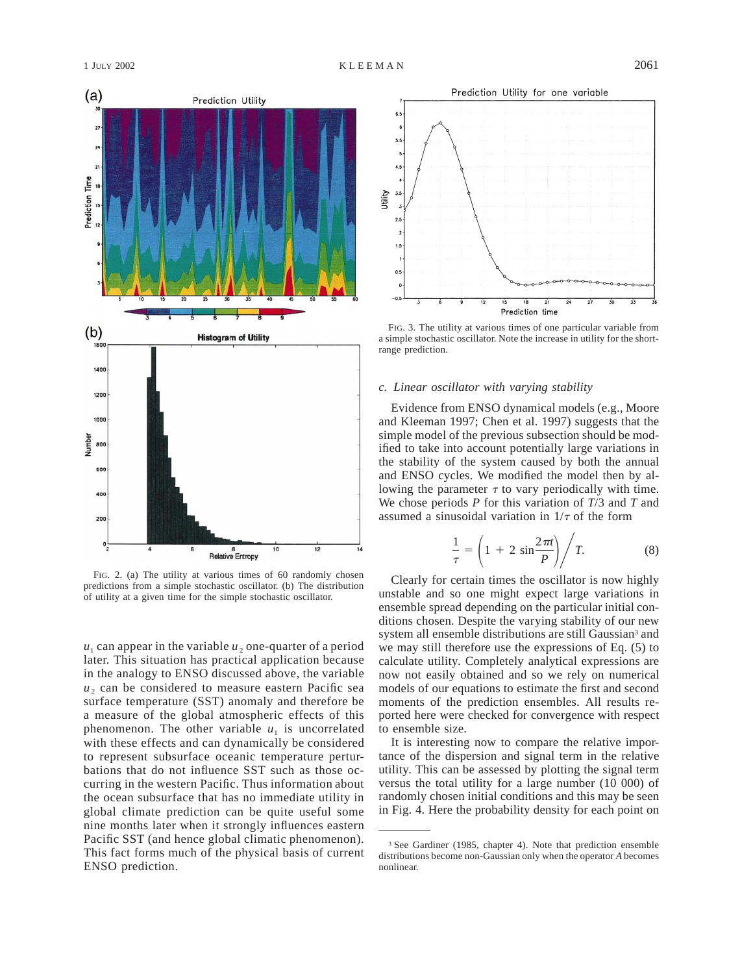

FIG. 2. (a) The utility at various times of 60 randomly chosen predictions from a simple stochastic oscillator. (b) The distribution of utility at a given time for the simple stochastic oscillator.

 $u_1$  can appear in the variable  $u_2$  one-quarter of a period later. This situation has practical application because in the analogy to ENSO discussed above, the variable  $u<sub>2</sub>$  can be considered to measure eastern Pacific sea surface temperature (SST) anomaly and therefore be a measure of the global atmospheric effects of this phenomenon. The other variable  $u_1$  is uncorrelated with these effects and can dynamically be considered to represent subsurface oceanic temperature perturbations that do not influence SST such as those occurring in the western Pacific. Thus information about the ocean subsurface that has no immediate utility in global climate prediction can be quite useful some nine months later when it strongly influences eastern Pacific SST (and hence global climatic phenomenon). This fact forms much of the physical basis of current ENSO prediction.



FIG. 3. The utility at various times of one particular variable from a simple stochastic oscillator. Note the increase in utility for the shortrange prediction.

## *c. Linear oscillator with varying stability*

Evidence from ENSO dynamical models (e.g., Moore and Kleeman 1997; Chen et al. 1997) suggests that the simple model of the previous subsection should be modified to take into account potentially large variations in the stability of the system caused by both the annual and ENSO cycles. We modified the model then by allowing the parameter  $\tau$  to vary periodically with time. We chose periods *P* for this variation of *T*/3 and *T* and assumed a sinusoidal variation in  $1/\tau$  of the form

$$
\frac{1}{\tau} = \left(1 + 2\sin\frac{2\pi t}{P}\right) / T. \tag{8}
$$

Clearly for certain times the oscillator is now highly unstable and so one might expect large variations in ensemble spread depending on the particular initial conditions chosen. Despite the varying stability of our new system all ensemble distributions are still Gaussian<sup>3</sup> and we may still therefore use the expressions of Eq. (5) to calculate utility. Completely analytical expressions are now not easily obtained and so we rely on numerical models of our equations to estimate the first and second moments of the prediction ensembles. All results reported here were checked for convergence with respect to ensemble size.

It is interesting now to compare the relative importance of the dispersion and signal term in the relative utility. This can be assessed by plotting the signal term versus the total utility for a large number (10 000) of randomly chosen initial conditions and this may be seen in Fig. 4. Here the probability density for each point on

<sup>&</sup>lt;sup>3</sup> See Gardiner (1985, chapter 4). Note that prediction ensemble distributions become non-Gaussian only when the operator *A* becomes nonlinear.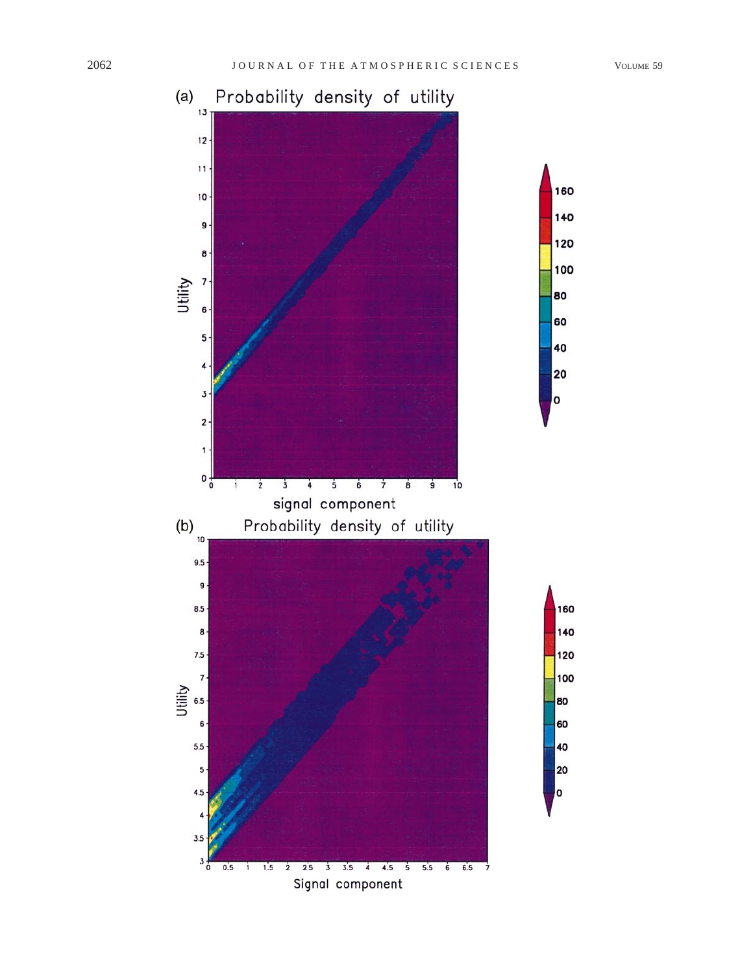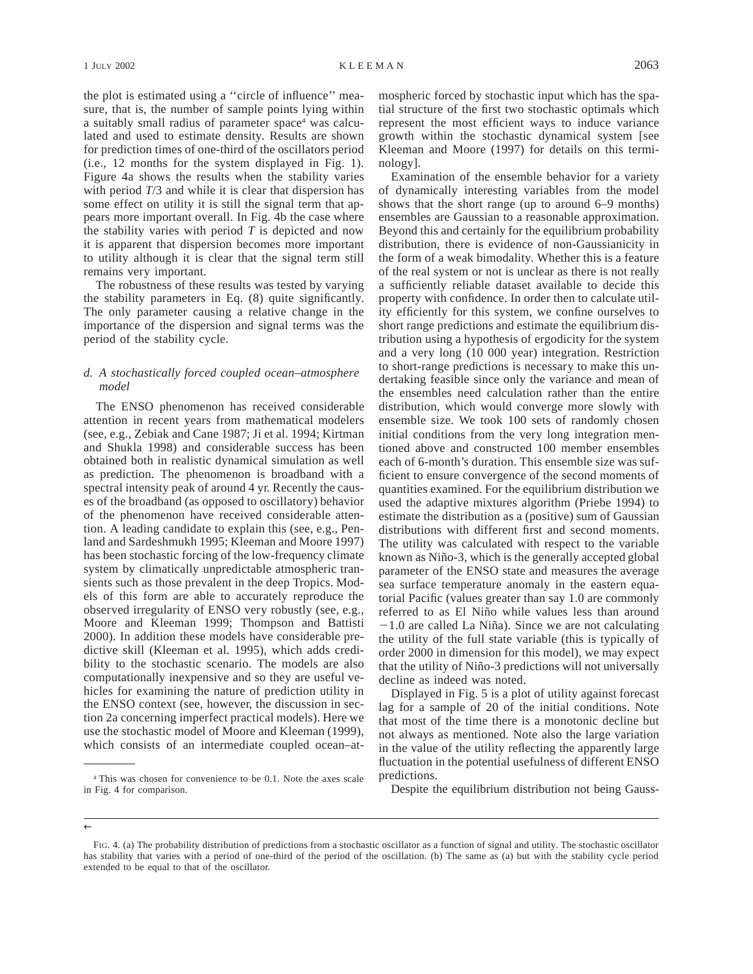the plot is estimated using a ''circle of influence'' measure, that is, the number of sample points lying within a suitably small radius of parameter space<sup>4</sup> was calculated and used to estimate density. Results are shown for prediction times of one-third of the oscillators period (i.e., 12 months for the system displayed in Fig. 1). Figure 4a shows the results when the stability varies with period *T*/3 and while it is clear that dispersion has some effect on utility it is still the signal term that appears more important overall. In Fig. 4b the case where the stability varies with period *T* is depicted and now it is apparent that dispersion becomes more important to utility although it is clear that the signal term still remains very important.

The robustness of these results was tested by varying the stability parameters in Eq. (8) quite significantly. The only parameter causing a relative change in the importance of the dispersion and signal terms was the period of the stability cycle.

# *d. A stochastically forced coupled ocean–atmosphere model*

The ENSO phenomenon has received considerable attention in recent years from mathematical modelers (see, e.g., Zebiak and Cane 1987; Ji et al. 1994; Kirtman and Shukla 1998) and considerable success has been obtained both in realistic dynamical simulation as well as prediction. The phenomenon is broadband with a spectral intensity peak of around 4 yr. Recently the causes of the broadband (as opposed to oscillatory) behavior of the phenomenon have received considerable attention. A leading candidate to explain this (see, e.g., Penland and Sardeshmukh 1995; Kleeman and Moore 1997) has been stochastic forcing of the low-frequency climate system by climatically unpredictable atmospheric transients such as those prevalent in the deep Tropics. Models of this form are able to accurately reproduce the observed irregularity of ENSO very robustly (see, e.g., Moore and Kleeman 1999; Thompson and Battisti 2000). In addition these models have considerable predictive skill (Kleeman et al. 1995), which adds credibility to the stochastic scenario. The models are also computationally inexpensive and so they are useful vehicles for examining the nature of prediction utility in the ENSO context (see, however, the discussion in section 2a concerning imperfect practical models). Here we use the stochastic model of Moore and Kleeman (1999), which consists of an intermediate coupled ocean–atmospheric forced by stochastic input which has the spatial structure of the first two stochastic optimals which represent the most efficient ways to induce variance growth within the stochastic dynamical system [see Kleeman and Moore (1997) for details on this terminology].

Examination of the ensemble behavior for a variety of dynamically interesting variables from the model shows that the short range (up to around 6–9 months) ensembles are Gaussian to a reasonable approximation. Beyond this and certainly for the equilibrium probability distribution, there is evidence of non-Gaussianicity in the form of a weak bimodality. Whether this is a feature of the real system or not is unclear as there is not really a sufficiently reliable dataset available to decide this property with confidence. In order then to calculate utility efficiently for this system, we confine ourselves to short range predictions and estimate the equilibrium distribution using a hypothesis of ergodicity for the system and a very long (10 000 year) integration. Restriction to short-range predictions is necessary to make this undertaking feasible since only the variance and mean of the ensembles need calculation rather than the entire distribution, which would converge more slowly with ensemble size. We took 100 sets of randomly chosen initial conditions from the very long integration mentioned above and constructed 100 member ensembles each of 6-month's duration. This ensemble size was sufficient to ensure convergence of the second moments of quantities examined. For the equilibrium distribution we used the adaptive mixtures algorithm (Priebe 1994) to estimate the distribution as a (positive) sum of Gaussian distributions with different first and second moments. The utility was calculated with respect to the variable known as Niño-3, which is the generally accepted global parameter of the ENSO state and measures the average sea surface temperature anomaly in the eastern equatorial Pacific (values greater than say 1.0 are commonly referred to as El Niño while values less than around  $-1.0$  are called La Niña). Since we are not calculating the utility of the full state variable (this is typically of order 2000 in dimension for this model), we may expect that the utility of Niño-3 predictions will not universally decline as indeed was noted.

Displayed in Fig. 5 is a plot of utility against forecast lag for a sample of 20 of the initial conditions. Note that most of the time there is a monotonic decline but not always as mentioned. Note also the large variation in the value of the utility reflecting the apparently large fluctuation in the potential usefulness of different ENSO predictions.

Despite the equilibrium distribution not being Gauss-

<sup>4</sup> This was chosen for convenience to be 0.1. Note the axes scale in Fig. 4 for comparison.

 $\leftarrow$ 

FIG. 4. (a) The probability distribution of predictions from a stochastic oscillator as a function of signal and utility. The stochastic oscillator has stability that varies with a period of one-third of the period of the oscillation. (b) The same as (a) but with the stability cycle period extended to be equal to that of the oscillator.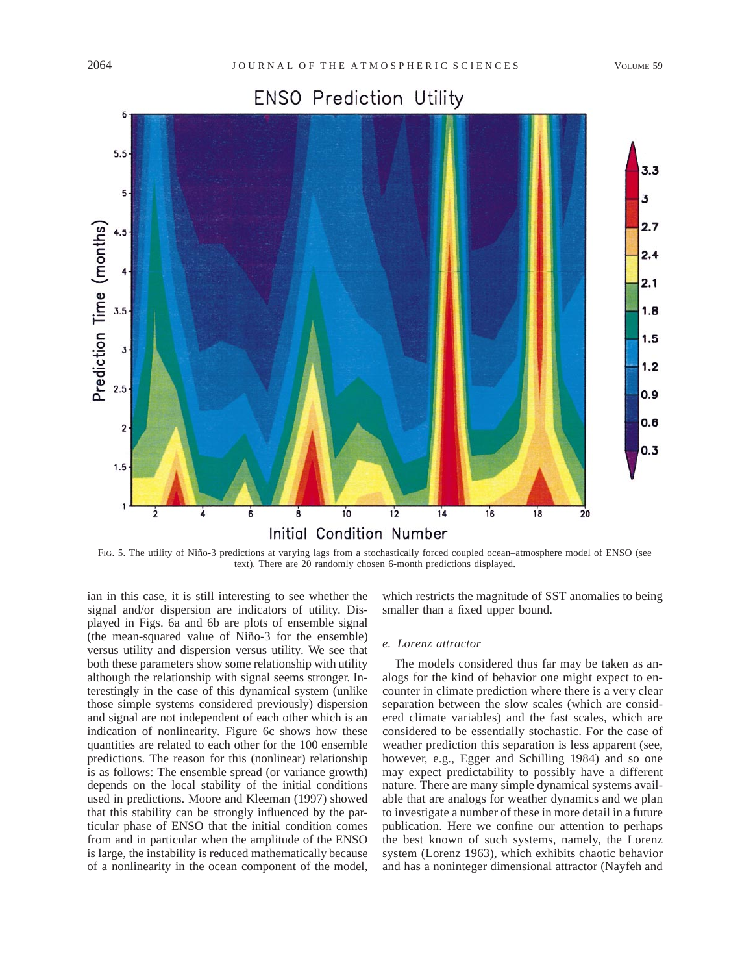# **ENSO Prediction Utility**



FIG. 5. The utility of Niño-3 predictions at varying lags from a stochastically forced coupled ocean-atmosphere model of ENSO (see text). There are 20 randomly chosen 6-month predictions displayed.

ian in this case, it is still interesting to see whether the signal and/or dispersion are indicators of utility. Displayed in Figs. 6a and 6b are plots of ensemble signal (the mean-squared value of Niño-3 for the ensemble) versus utility and dispersion versus utility. We see that both these parameters show some relationship with utility although the relationship with signal seems stronger. Interestingly in the case of this dynamical system (unlike those simple systems considered previously) dispersion and signal are not independent of each other which is an indication of nonlinearity. Figure 6c shows how these quantities are related to each other for the 100 ensemble predictions. The reason for this (nonlinear) relationship is as follows: The ensemble spread (or variance growth) depends on the local stability of the initial conditions used in predictions. Moore and Kleeman (1997) showed that this stability can be strongly influenced by the particular phase of ENSO that the initial condition comes from and in particular when the amplitude of the ENSO is large, the instability is reduced mathematically because of a nonlinearity in the ocean component of the model, which restricts the magnitude of SST anomalies to being smaller than a fixed upper bound.

## *e. Lorenz attractor*

The models considered thus far may be taken as analogs for the kind of behavior one might expect to encounter in climate prediction where there is a very clear separation between the slow scales (which are considered climate variables) and the fast scales, which are considered to be essentially stochastic. For the case of weather prediction this separation is less apparent (see, however, e.g., Egger and Schilling 1984) and so one may expect predictability to possibly have a different nature. There are many simple dynamical systems available that are analogs for weather dynamics and we plan to investigate a number of these in more detail in a future publication. Here we confine our attention to perhaps the best known of such systems, namely, the Lorenz system (Lorenz 1963), which exhibits chaotic behavior and has a noninteger dimensional attractor (Nayfeh and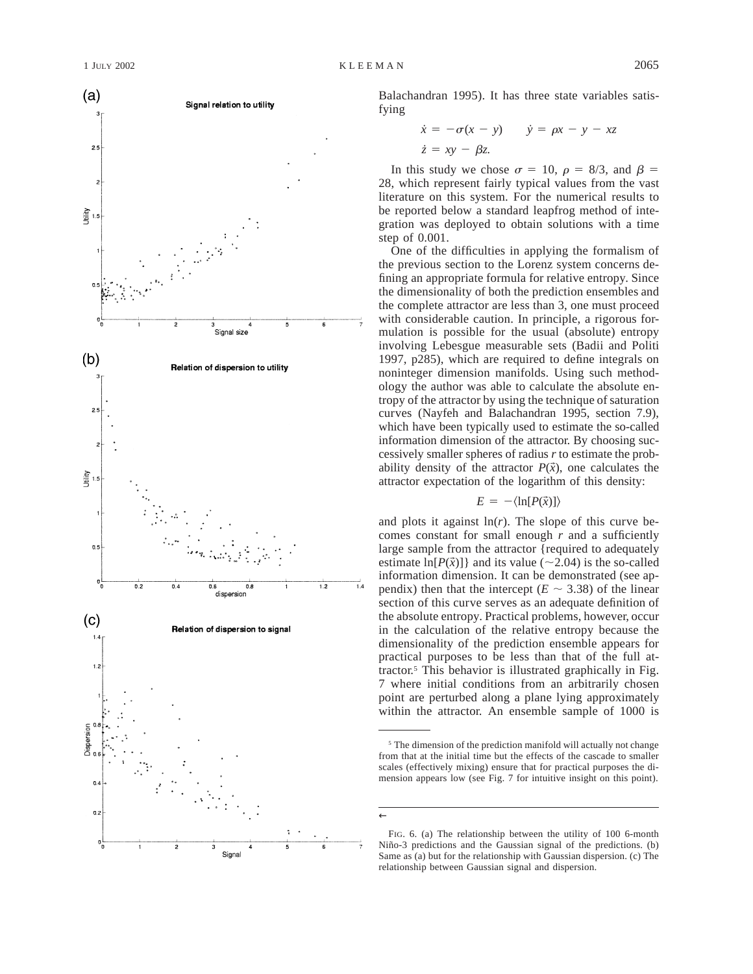

Balachandran 1995). It has three state variables satisfying

$$
\begin{aligned}\n\dot{x} &= -\sigma(x - y) & \dot{y} &= \rho x - y - xz \\
\dot{z} &= xy - \beta z.\n\end{aligned}
$$

In this study we chose  $\sigma = 10$ ,  $\rho = 8/3$ , and  $\beta =$ 28, which represent fairly typical values from the vast literature on this system. For the numerical results to be reported below a standard leapfrog method of integration was deployed to obtain solutions with a time step of 0.001.

One of the difficulties in applying the formalism of the previous section to the Lorenz system concerns defining an appropriate formula for relative entropy. Since the dimensionality of both the prediction ensembles and the complete attractor are less than 3, one must proceed with considerable caution. In principle, a rigorous formulation is possible for the usual (absolute) entropy involving Lebesgue measurable sets (Badii and Politi 1997, p285), which are required to define integrals on noninteger dimension manifolds. Using such methodology the author was able to calculate the absolute entropy of the attractor by using the technique of saturation curves (Nayfeh and Balachandran 1995, section 7.9), which have been typically used to estimate the so-called information dimension of the attractor. By choosing successively smaller spheres of radius *r* to estimate the probability density of the attractor  $P(\vec{x})$ , one calculates the attractor expectation of the logarithm of this density:

$$
E = -\langle \ln[P(\vec{x})] \rangle
$$

and plots it against  $\ln(r)$ . The slope of this curve becomes constant for small enough  $r$  and a sufficiently large sample from the attractor {required to adequately estimate  $\ln[P(\vec{x})]$  and its value (~2.04) is the so-called information dimension. It can be demonstrated (see appendix) then that the intercept ( $E \sim 3.38$ ) of the linear section of this curve serves as an adequate definition of the absolute entropy. Practical problems, however, occur in the calculation of the relative entropy because the dimensionality of the prediction ensemble appears for practical purposes to be less than that of the full attractor.5 This behavior is illustrated graphically in Fig. 7 where initial conditions from an arbitrarily chosen point are perturbed along a plane lying approximately within the attractor. An ensemble sample of 1000 is

←

 $5$  The dimension of the prediction manifold will actually not change from that at the initial time but the effects of the cascade to smaller scales (effectively mixing) ensure that for practical purposes the dimension appears low (see Fig. 7 for intuitive insight on this point).

FIG. 6. (a) The relationship between the utility of 100 6-month Niño-3 predictions and the Gaussian signal of the predictions. (b) Same as (a) but for the relationship with Gaussian dispersion. (c) The relationship between Gaussian signal and dispersion.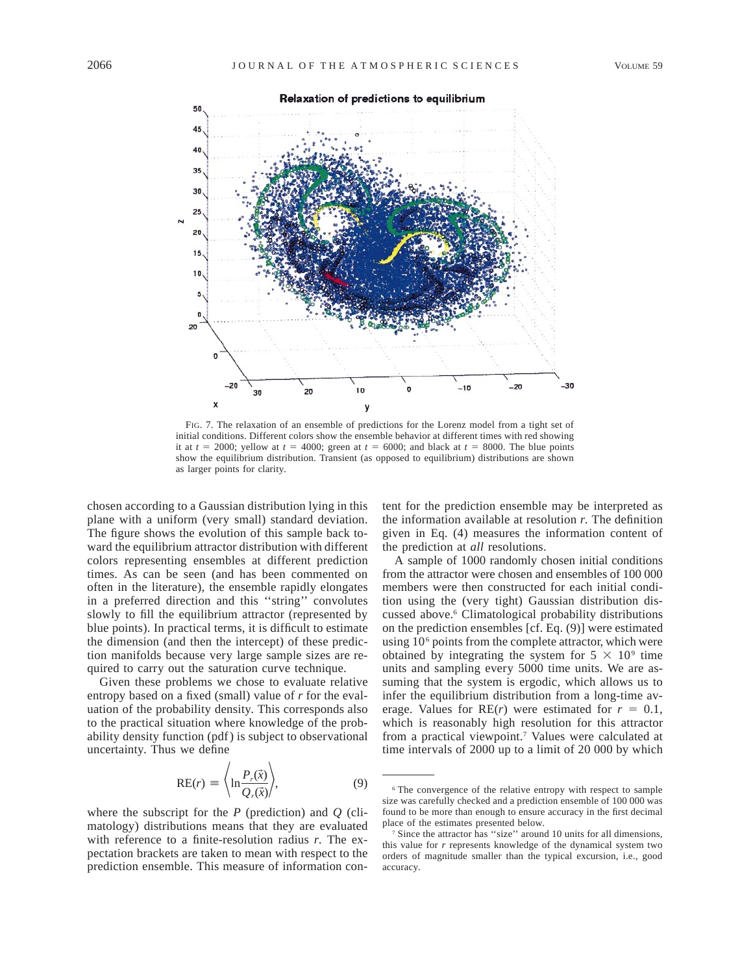

FIG. 7. The relaxation of an ensemble of predictions for the Lorenz model from a tight set of initial conditions. Different colors show the ensemble behavior at different times with red showing it at  $t = 2000$ ; yellow at  $t = 4000$ ; green at  $t = 6000$ ; and black at  $t = 8000$ . The blue points show the equilibrium distribution. Transient (as opposed to equilibrium) distributions are shown as larger points for clarity.

chosen according to a Gaussian distribution lying in this plane with a uniform (very small) standard deviation. The figure shows the evolution of this sample back toward the equilibrium attractor distribution with different colors representing ensembles at different prediction times. As can be seen (and has been commented on often in the literature), the ensemble rapidly elongates in a preferred direction and this ''string'' convolutes slowly to fill the equilibrium attractor (represented by blue points). In practical terms, it is difficult to estimate the dimension (and then the intercept) of these prediction manifolds because very large sample sizes are required to carry out the saturation curve technique.

Given these problems we chose to evaluate relative entropy based on a fixed (small) value of *r* for the evaluation of the probability density. This corresponds also to the practical situation where knowledge of the probability density function (pdf) is subject to observational uncertainty. Thus we define

$$
RE(r) \equiv \left\langle \ln \frac{P_r(\vec{x})}{Q_r(\vec{x})} \right\rangle, \tag{9}
$$

where the subscript for the *P* (prediction) and *Q* (climatology) distributions means that they are evaluated with reference to a finite-resolution radius *r.* The expectation brackets are taken to mean with respect to the prediction ensemble. This measure of information content for the prediction ensemble may be interpreted as the information available at resolution *r.* The definition given in Eq. (4) measures the information content of the prediction at *all* resolutions.

A sample of 1000 randomly chosen initial conditions from the attractor were chosen and ensembles of 100 000 members were then constructed for each initial condition using the (very tight) Gaussian distribution discussed above.6 Climatological probability distributions on the prediction ensembles [cf. Eq. (9)] were estimated using 10<sup>6</sup> points from the complete attractor, which were obtained by integrating the system for  $5 \times 10^9$  time units and sampling every 5000 time units. We are assuming that the system is ergodic, which allows us to infer the equilibrium distribution from a long-time average. Values for  $RE(r)$  were estimated for  $r = 0.1$ , which is reasonably high resolution for this attractor from a practical viewpoint.7 Values were calculated at time intervals of 2000 up to a limit of 20 000 by which

<sup>6</sup> The convergence of the relative entropy with respect to sample size was carefully checked and a prediction ensemble of 100 000 was found to be more than enough to ensure accuracy in the first decimal place of the estimates presented below.

<sup>7</sup> Since the attractor has ''size'' around 10 units for all dimensions, this value for *r* represents knowledge of the dynamical system two orders of magnitude smaller than the typical excursion, i.e., good accuracy.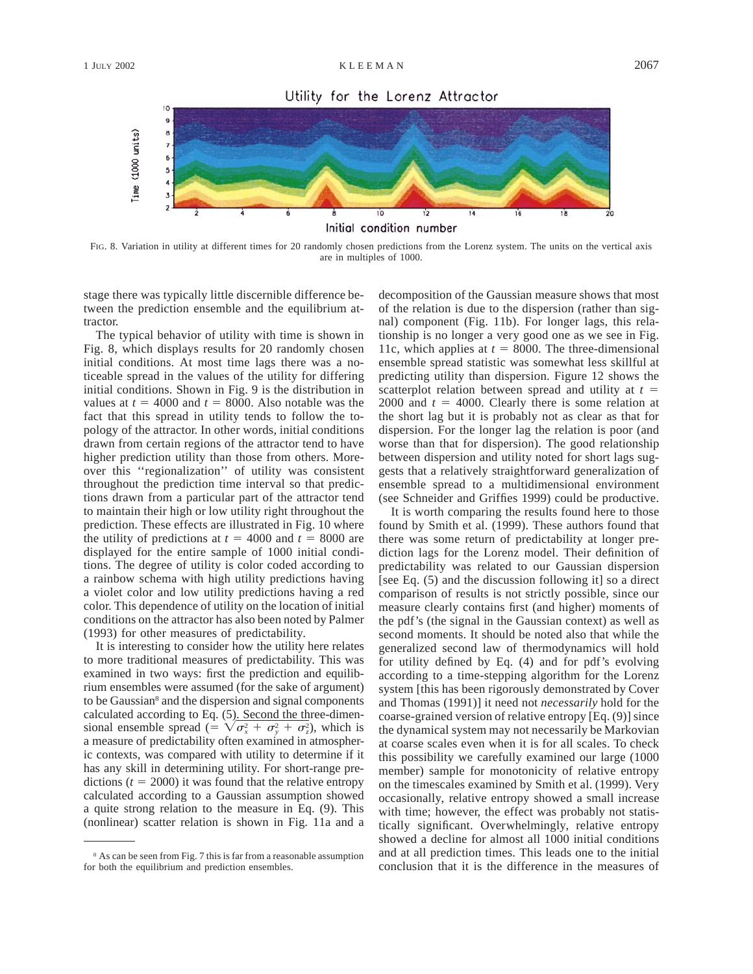Utility for the Lorenz Attractor



FIG. 8. Variation in utility at different times for 20 randomly chosen predictions from the Lorenz system. The units on the vertical axis are in multiples of 1000.

stage there was typically little discernible difference between the prediction ensemble and the equilibrium attractor.

The typical behavior of utility with time is shown in Fig. 8, which displays results for 20 randomly chosen initial conditions. At most time lags there was a noticeable spread in the values of the utility for differing initial conditions. Shown in Fig. 9 is the distribution in values at  $t = 4000$  and  $t = 8000$ . Also notable was the fact that this spread in utility tends to follow the topology of the attractor. In other words, initial conditions drawn from certain regions of the attractor tend to have higher prediction utility than those from others. Moreover this ''regionalization'' of utility was consistent throughout the prediction time interval so that predictions drawn from a particular part of the attractor tend to maintain their high or low utility right throughout the prediction. These effects are illustrated in Fig. 10 where the utility of predictions at  $t = 4000$  and  $t = 8000$  are displayed for the entire sample of 1000 initial conditions. The degree of utility is color coded according to a rainbow schema with high utility predictions having a violet color and low utility predictions having a red color. This dependence of utility on the location of initial conditions on the attractor has also been noted by Palmer (1993) for other measures of predictability.

It is interesting to consider how the utility here relates to more traditional measures of predictability. This was examined in two ways: first the prediction and equilibrium ensembles were assumed (for the sake of argument) to be Gaussian<sup>8</sup> and the dispersion and signal components calculated according to Eq. (5). Second the three-dimensional ensemble spread (=  $\sqrt{\sigma_x^2 + \sigma_y^2 + \sigma_z^2}$ ), which is a measure of predictability often examined in atmospheric contexts, was compared with utility to determine if it has any skill in determining utility. For short-range predictions ( $t = 2000$ ) it was found that the relative entropy calculated according to a Gaussian assumption showed a quite strong relation to the measure in Eq. (9). This (nonlinear) scatter relation is shown in Fig. 11a and a

decomposition of the Gaussian measure shows that most of the relation is due to the dispersion (rather than signal) component (Fig. 11b). For longer lags, this relationship is no longer a very good one as we see in Fig. 11c, which applies at  $t = 8000$ . The three-dimensional ensemble spread statistic was somewhat less skillful at predicting utility than dispersion. Figure 12 shows the scatterplot relation between spread and utility at  $t =$ 2000 and  $t = 4000$ . Clearly there is some relation at the short lag but it is probably not as clear as that for dispersion. For the longer lag the relation is poor (and worse than that for dispersion). The good relationship between dispersion and utility noted for short lags suggests that a relatively straightforward generalization of ensemble spread to a multidimensional environment (see Schneider and Griffies 1999) could be productive.

It is worth comparing the results found here to those found by Smith et al. (1999). These authors found that there was some return of predictability at longer prediction lags for the Lorenz model. Their definition of predictability was related to our Gaussian dispersion [see Eq. (5) and the discussion following it] so a direct comparison of results is not strictly possible, since our measure clearly contains first (and higher) moments of the pdf's (the signal in the Gaussian context) as well as second moments. It should be noted also that while the generalized second law of thermodynamics will hold for utility defined by Eq. (4) and for pdf's evolving according to a time-stepping algorithm for the Lorenz system [this has been rigorously demonstrated by Cover and Thomas (1991)] it need not *necessarily* hold for the coarse-grained version of relative entropy [Eq. (9)] since the dynamical system may not necessarily be Markovian at coarse scales even when it is for all scales. To check this possibility we carefully examined our large (1000 member) sample for monotonicity of relative entropy on the timescales examined by Smith et al. (1999). Very occasionally, relative entropy showed a small increase with time; however, the effect was probably not statistically significant. Overwhelmingly, relative entropy showed a decline for almost all 1000 initial conditions and at all prediction times. This leads one to the initial conclusion that it is the difference in the measures of

<sup>8</sup> As can be seen from Fig. 7 this is far from a reasonable assumption for both the equilibrium and prediction ensembles.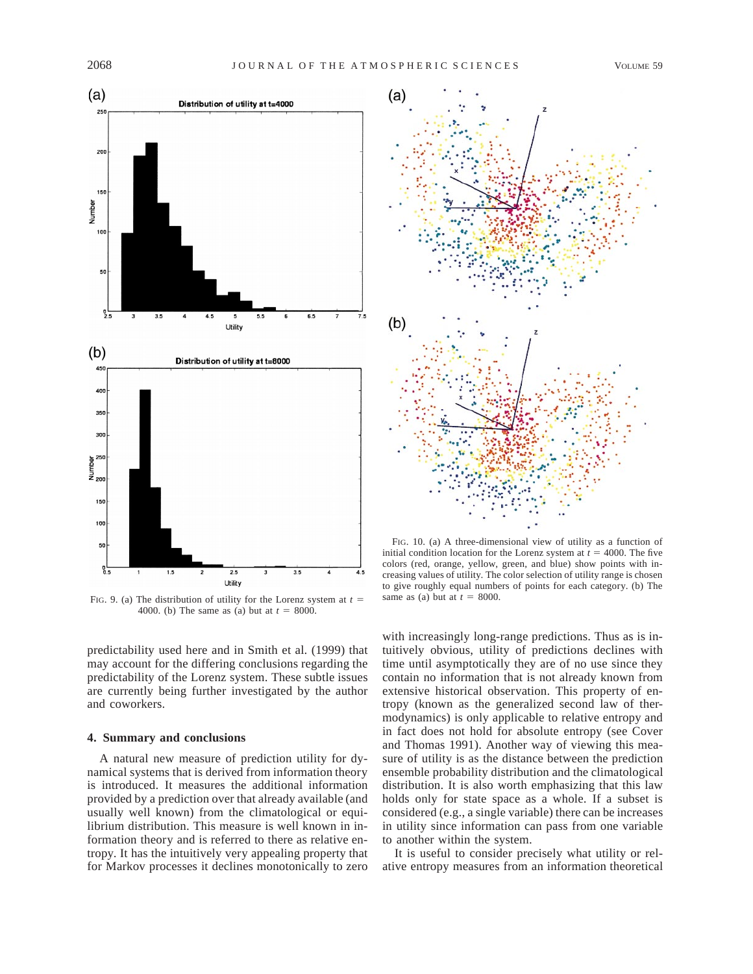

FIG. 9. (a) The distribution of utility for the Lorenz system at  $t =$ 4000. (b) The same as (a) but at  $t = 8000$ .

predictability used here and in Smith et al. (1999) that may account for the differing conclusions regarding the predictability of the Lorenz system. These subtle issues are currently being further investigated by the author and coworkers.

## **4. Summary and conclusions**

A natural new measure of prediction utility for dynamical systems that is derived from information theory is introduced. It measures the additional information provided by a prediction over that already available (and usually well known) from the climatological or equilibrium distribution. This measure is well known in information theory and is referred to there as relative entropy. It has the intuitively very appealing property that for Markov processes it declines monotonically to zero



FIG. 10. (a) A three-dimensional view of utility as a function of initial condition location for the Lorenz system at  $t = 4000$ . The five colors (red, orange, yellow, green, and blue) show points with increasing values of utility. The color selection of utility range is chosen to give roughly equal numbers of points for each category. (b) The same as (a) but at  $t = 8000$ .

with increasingly long-range predictions. Thus as is intuitively obvious, utility of predictions declines with time until asymptotically they are of no use since they contain no information that is not already known from extensive historical observation. This property of entropy (known as the generalized second law of thermodynamics) is only applicable to relative entropy and in fact does not hold for absolute entropy (see Cover and Thomas 1991). Another way of viewing this measure of utility is as the distance between the prediction ensemble probability distribution and the climatological distribution. It is also worth emphasizing that this law holds only for state space as a whole. If a subset is considered (e.g., a single variable) there can be increases in utility since information can pass from one variable to another within the system.

It is useful to consider precisely what utility or relative entropy measures from an information theoretical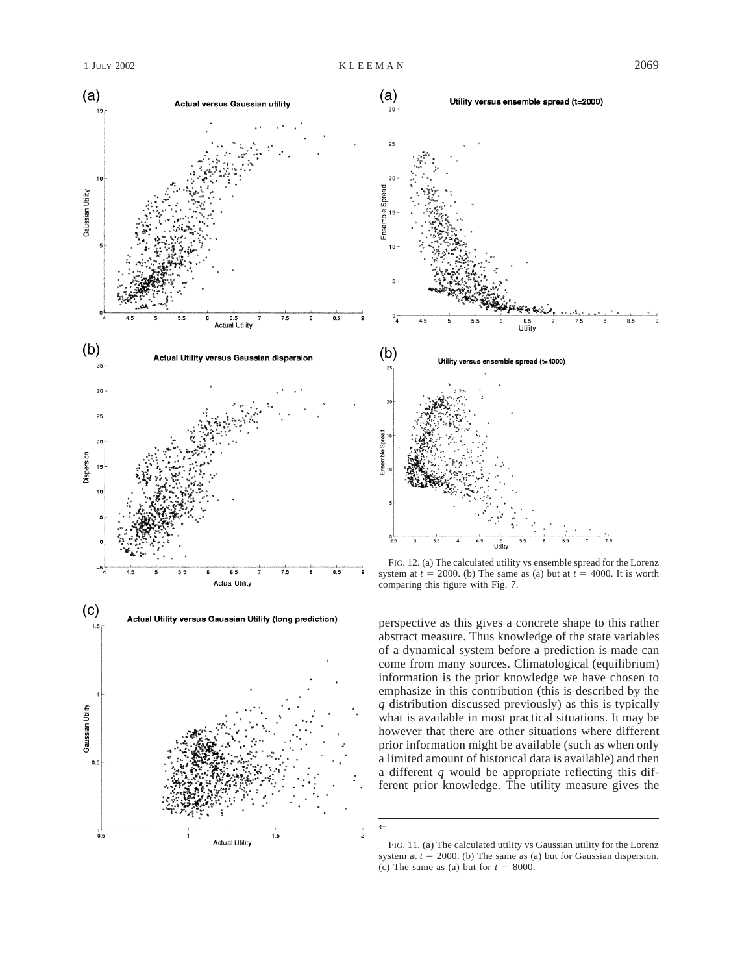



FIG. 12. (a) The calculated utility vs ensemble spread for the Lorenz system at  $t = 2000$ . (b) The same as (a) but at  $t = 4000$ . It is worth comparing this figure with Fig. 7.

perspective as this gives a concrete shape to this rather abstract measure. Thus knowledge of the state variables of a dynamical system before a prediction is made can come from many sources. Climatological (equilibrium) information is the prior knowledge we have chosen to emphasize in this contribution (this is described by the *q* distribution discussed previously) as this is typically what is available in most practical situations. It may be however that there are other situations where different prior information might be available (such as when only a limited amount of historical data is available) and then a different *q* would be appropriate reflecting this different prior knowledge. The utility measure gives the

←

FIG. 11. (a) The calculated utility vs Gaussian utility for the Lorenz system at  $t = 2000$ . (b) The same as (a) but for Gaussian dispersion. (c) The same as (a) but for  $t = 8000$ .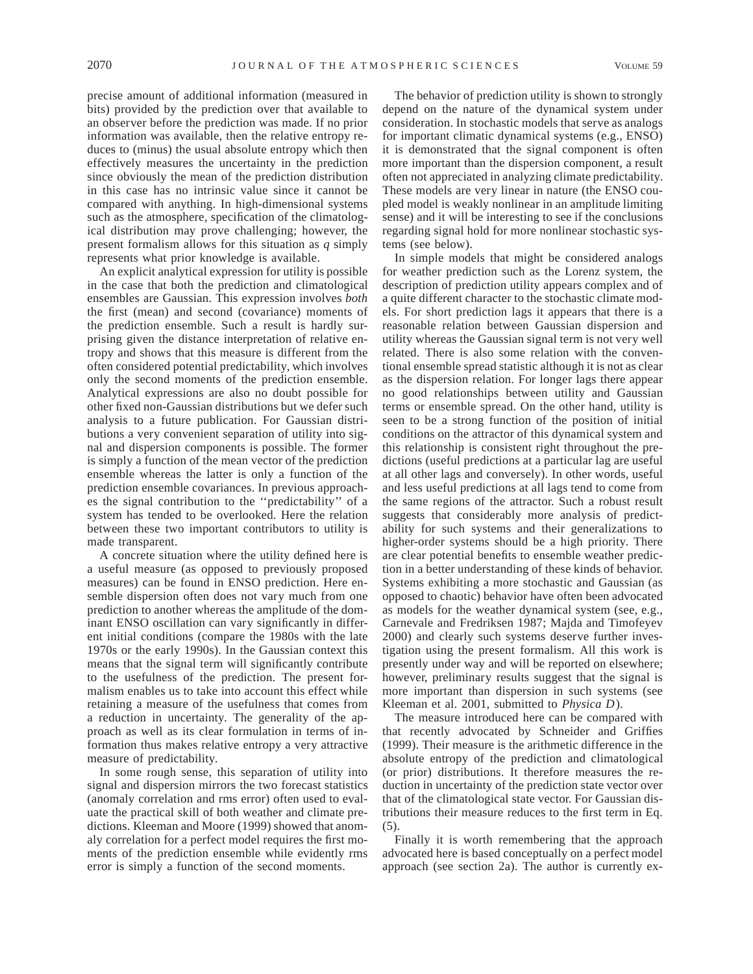precise amount of additional information (measured in bits) provided by the prediction over that available to an observer before the prediction was made. If no prior information was available, then the relative entropy reduces to (minus) the usual absolute entropy which then effectively measures the uncertainty in the prediction since obviously the mean of the prediction distribution in this case has no intrinsic value since it cannot be compared with anything. In high-dimensional systems such as the atmosphere, specification of the climatological distribution may prove challenging; however, the present formalism allows for this situation as *q* simply represents what prior knowledge is available.

An explicit analytical expression for utility is possible in the case that both the prediction and climatological ensembles are Gaussian. This expression involves *both* the first (mean) and second (covariance) moments of the prediction ensemble. Such a result is hardly surprising given the distance interpretation of relative entropy and shows that this measure is different from the often considered potential predictability, which involves only the second moments of the prediction ensemble. Analytical expressions are also no doubt possible for other fixed non-Gaussian distributions but we defer such analysis to a future publication. For Gaussian distributions a very convenient separation of utility into signal and dispersion components is possible. The former is simply a function of the mean vector of the prediction ensemble whereas the latter is only a function of the prediction ensemble covariances. In previous approaches the signal contribution to the ''predictability'' of a system has tended to be overlooked. Here the relation between these two important contributors to utility is made transparent.

A concrete situation where the utility defined here is a useful measure (as opposed to previously proposed measures) can be found in ENSO prediction. Here ensemble dispersion often does not vary much from one prediction to another whereas the amplitude of the dominant ENSO oscillation can vary significantly in different initial conditions (compare the 1980s with the late 1970s or the early 1990s). In the Gaussian context this means that the signal term will significantly contribute to the usefulness of the prediction. The present formalism enables us to take into account this effect while retaining a measure of the usefulness that comes from a reduction in uncertainty. The generality of the approach as well as its clear formulation in terms of information thus makes relative entropy a very attractive measure of predictability.

In some rough sense, this separation of utility into signal and dispersion mirrors the two forecast statistics (anomaly correlation and rms error) often used to evaluate the practical skill of both weather and climate predictions. Kleeman and Moore (1999) showed that anomaly correlation for a perfect model requires the first moments of the prediction ensemble while evidently rms error is simply a function of the second moments.

The behavior of prediction utility is shown to strongly depend on the nature of the dynamical system under consideration. In stochastic models that serve as analogs for important climatic dynamical systems (e.g., ENSO) it is demonstrated that the signal component is often more important than the dispersion component, a result often not appreciated in analyzing climate predictability. These models are very linear in nature (the ENSO coupled model is weakly nonlinear in an amplitude limiting sense) and it will be interesting to see if the conclusions regarding signal hold for more nonlinear stochastic systems (see below).

In simple models that might be considered analogs for weather prediction such as the Lorenz system, the description of prediction utility appears complex and of a quite different character to the stochastic climate models. For short prediction lags it appears that there is a reasonable relation between Gaussian dispersion and utility whereas the Gaussian signal term is not very well related. There is also some relation with the conventional ensemble spread statistic although it is not as clear as the dispersion relation. For longer lags there appear no good relationships between utility and Gaussian terms or ensemble spread. On the other hand, utility is seen to be a strong function of the position of initial conditions on the attractor of this dynamical system and this relationship is consistent right throughout the predictions (useful predictions at a particular lag are useful at all other lags and conversely). In other words, useful and less useful predictions at all lags tend to come from the same regions of the attractor. Such a robust result suggests that considerably more analysis of predictability for such systems and their generalizations to higher-order systems should be a high priority. There are clear potential benefits to ensemble weather prediction in a better understanding of these kinds of behavior. Systems exhibiting a more stochastic and Gaussian (as opposed to chaotic) behavior have often been advocated as models for the weather dynamical system (see, e.g., Carnevale and Fredriksen 1987; Majda and Timofeyev 2000) and clearly such systems deserve further investigation using the present formalism. All this work is presently under way and will be reported on elsewhere; however, preliminary results suggest that the signal is more important than dispersion in such systems (see Kleeman et al. 2001, submitted to *Physica D*).

The measure introduced here can be compared with that recently advocated by Schneider and Griffies (1999). Their measure is the arithmetic difference in the absolute entropy of the prediction and climatological (or prior) distributions. It therefore measures the reduction in uncertainty of the prediction state vector over that of the climatological state vector. For Gaussian distributions their measure reduces to the first term in Eq. (5).

Finally it is worth remembering that the approach advocated here is based conceptually on a perfect model approach (see section 2a). The author is currently ex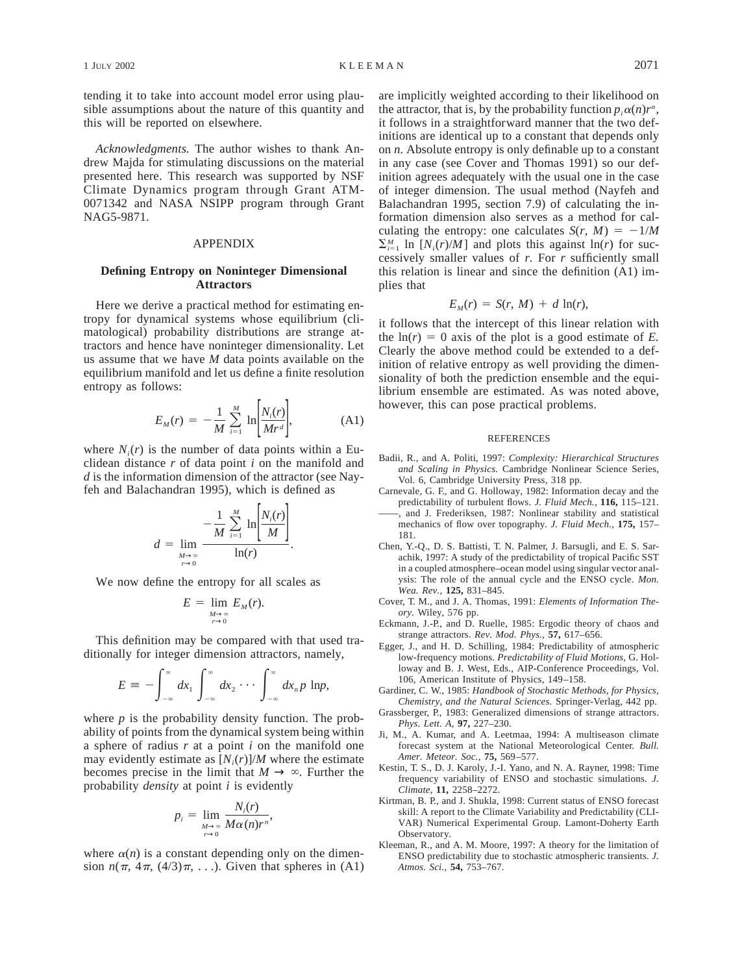tending it to take into account model error using plausible assumptions about the nature of this quantity and this will be reported on elsewhere.

*Acknowledgments.* The author wishes to thank Andrew Majda for stimulating discussions on the material presented here. This research was supported by NSF Climate Dynamics program through Grant ATM-0071342 and NASA NSIPP program through Grant NAG5-9871.

# APPENDIX

# **Defining Entropy on Noninteger Dimensional Attractors**

Here we derive a practical method for estimating entropy for dynamical systems whose equilibrium (climatological) probability distributions are strange attractors and hence have noninteger dimensionality. Let us assume that we have *M* data points available on the equilibrium manifold and let us define a finite resolution entropy as follows:

$$
E_M(r) = -\frac{1}{M} \sum_{i=1}^{M} \ln \left[ \frac{N_i(r)}{Mr^d} \right],
$$
 (A1)

where  $N_i(r)$  is the number of data points within a Euclidean distance *r* of data point *i* on the manifold and *d* is the information dimension of the attractor (see Nayfeh and Balachandran 1995), which is defined as

$$
d = \lim_{M \to \infty \atop r \to 0} \frac{-\frac{1}{M} \sum_{i=1}^{M} \ln \left| \frac{N_i(r)}{M} \right|}{\ln(r)}.
$$

We now define the entropy for all scales as

$$
E = \lim_{M \to \infty \atop r \to 0} E_M(r).
$$

This definition may be compared with that used traditionally for integer dimension attractors, namely,

$$
E \equiv -\int_{-\infty}^{\infty} dx_1 \int_{-\infty}^{\infty} dx_2 \cdots \int_{-\infty}^{\infty} dx_n p \ln p,
$$

where  $p$  is the probability density function. The probability of points from the dynamical system being within a sphere of radius *r* at a point *i* on the manifold one may evidently estimate as  $[N_i(r)]/M$  where the estimate becomes precise in the limit that  $M \to \infty$ . Further the probability *density* at point *i* is evidently

$$
p_i = \lim_{\substack{M \to \infty \\ r \to 0}} \frac{N_i(r)}{M\alpha(n)r^n},
$$

where  $\alpha(n)$  is a constant depending only on the dimension  $n(\pi, 4\pi, (4/3)\pi, \ldots)$ . Given that spheres in (A1) are implicitly weighted according to their likelihood on the attractor, that is, by the probability function  $p_i \alpha(n) r^n$ , it follows in a straightforward manner that the two definitions are identical up to a constant that depends only on *n.* Absolute entropy is only definable up to a constant in any case (see Cover and Thomas 1991) so our definition agrees adequately with the usual one in the case of integer dimension. The usual method (Nayfeh and Balachandran 1995, section 7.9) of calculating the information dimension also serves as a method for calculating the entropy: one calculates  $S(r, M) = -1/M$  $\sum_{i=1}^{M} \ln [N_i(r)/M]$  and plots this against ln(*r*) for successively smaller values of *r.* For *r* sufficiently small this relation is linear and since the definition (A1) implies that

$$
E_M(r) = S(r, M) + d \ln(r),
$$

it follows that the intercept of this linear relation with the  $ln(r) = 0$  axis of the plot is a good estimate of *E*. Clearly the above method could be extended to a definition of relative entropy as well providing the dimensionality of both the prediction ensemble and the equilibrium ensemble are estimated. As was noted above, however, this can pose practical problems.

#### REFERENCES

- Badii, R., and A. Politi, 1997: *Complexity: Hierarchical Structures and Scaling in Physics.* Cambridge Nonlinear Science Series, Vol. 6, Cambridge University Press, 318 pp.
- Carnevale, G. F., and G. Holloway, 1982: Information decay and the predictability of turbulent flows. *J. Fluid Mech.,* **116,** 115–121.
- ——, and J. Frederiksen, 1987: Nonlinear stability and statistical mechanics of flow over topography. *J. Fluid Mech.,* **175,** 157– 181.
- Chen, Y.-Q., D. S. Battisti, T. N. Palmer, J. Barsugli, and E. S. Sarachik, 1997: A study of the predictability of tropical Pacific SST in a coupled atmosphere–ocean model using singular vector analysis: The role of the annual cycle and the ENSO cycle. *Mon. Wea. Rev.,* **125,** 831–845.
- Cover, T. M., and J. A. Thomas, 1991: *Elements of Information Theory.* Wiley, 576 pp.
- Eckmann, J.-P., and D. Ruelle, 1985: Ergodic theory of chaos and strange attractors. *Rev. Mod. Phys.,* **57,** 617–656.
- Egger, J., and H. D. Schilling, 1984: Predictability of atmospheric low-frequency motions. *Predictability of Fluid Motions,* G. Holloway and B. J. West, Eds., AIP-Conference Proceedings, Vol. 106, American Institute of Physics, 149–158.
- Gardiner, C. W., 1985: *Handbook of Stochastic Methods, for Physics, Chemistry, and the Natural Sciences.* Springer-Verlag, 442 pp.
- Grassberger, P., 1983: Generalized dimensions of strange attractors. *Phys. Lett. A,* **97,** 227–230.
- Ji, M., A. Kumar, and A. Leetmaa, 1994: A multiseason climate forecast system at the National Meteorological Center. *Bull. Amer. Meteor. Soc.,* **75,** 569–577.
- Kestin, T. S., D. J. Karoly, J.-I. Yano, and N. A. Rayner, 1998: Time frequency variability of ENSO and stochastic simulations. *J. Climate,* **11,** 2258–2272.
- Kirtman, B. P., and J. Shukla, 1998: Current status of ENSO forecast skill: A report to the Climate Variability and Predictability (CLI-VAR) Numerical Experimental Group. Lamont-Doherty Earth Observatory.
- Kleeman, R., and A. M. Moore, 1997: A theory for the limitation of ENSO predictability due to stochastic atmospheric transients. *J. Atmos. Sci.,* **54,** 753–767.